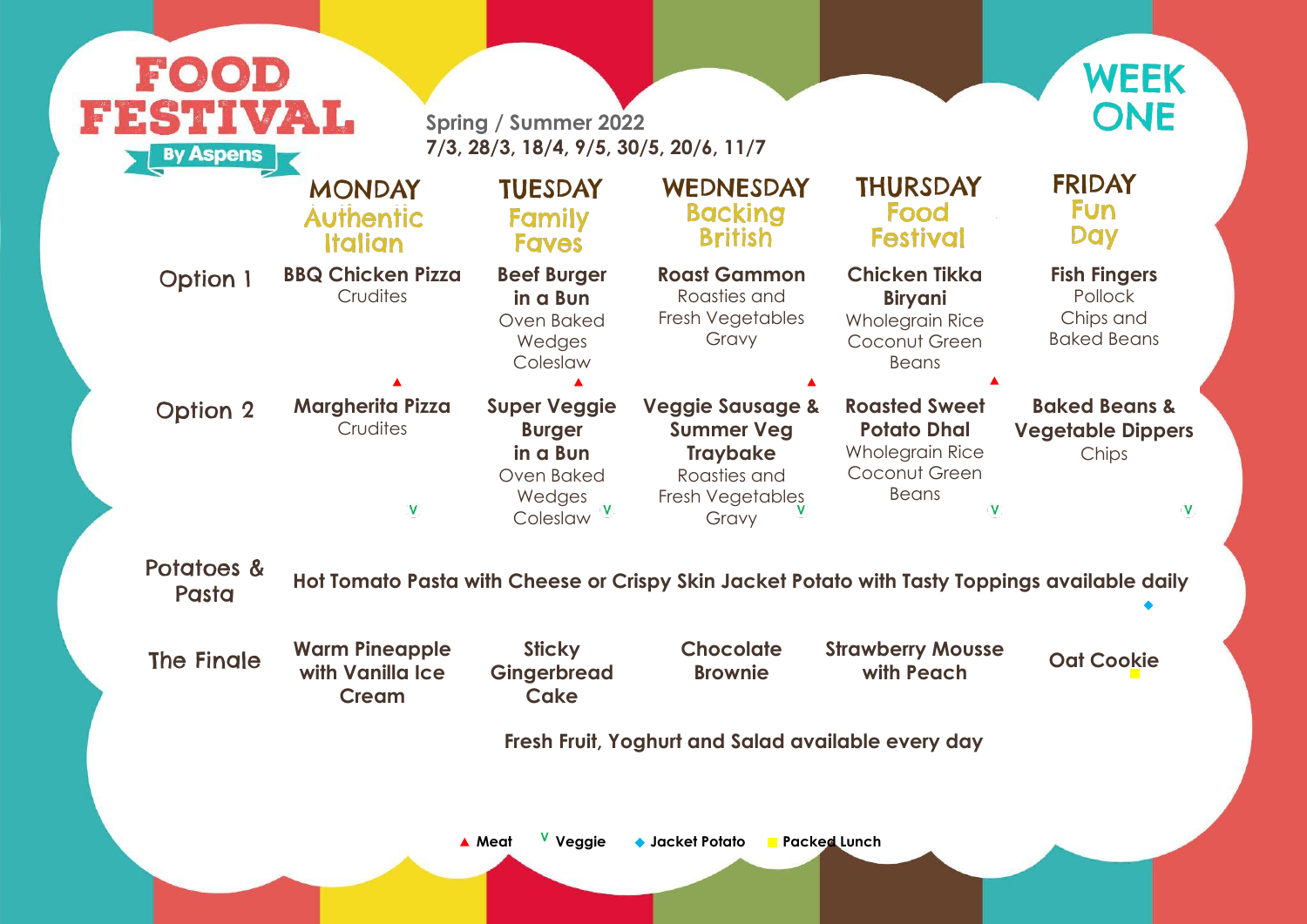**Fish Fingers** Pollock Chips and Baked Beans

#### **Baked Beans & Vegetable Dippers Chips**

 $\mathbf V$ 

Pasta **Hot Tomato Pasta with Cheese or Crispy Skin Jacket Potato with Tasty Toppings available daily**

<sup>e</sup> Oat Coo<mark>k</mark>ie

| FESTIVAL<br><b>By Aspens</b> | <b>Spring / Summer 2022</b><br>7/3, 28/3, 18/4, 9/5, 30/5, 20/6, 11/7<br><b>THURSDAY</b><br>WEDNESDAY<br><b>TUESDAY</b><br><b>MONDAY</b> |                                                                                      |                                                                                                                  |                                                                                                            |  |  |
|------------------------------|------------------------------------------------------------------------------------------------------------------------------------------|--------------------------------------------------------------------------------------|------------------------------------------------------------------------------------------------------------------|------------------------------------------------------------------------------------------------------------|--|--|
|                              | <b>Authentic</b><br>Italian                                                                                                              | Family<br><b>Faves</b>                                                               | <b>Backing</b><br><b>British</b>                                                                                 | Food<br><b>Festival</b>                                                                                    |  |  |
| <b>Option 1</b>              | <b>BBQ Chicken Pizza</b><br>Crudites                                                                                                     | <b>Beef Burger</b><br>in a Bun<br>Oven Baked<br>Wedges<br>Coleslaw                   | <b>Roast Gammon</b><br>Roasties and<br>Fresh Vegetables<br>Gravy                                                 | <b>Chicken Tikka</b><br><b>Biryani</b><br><b>Wholegrain Rice</b><br>Coconut Green<br><b>Beans</b>          |  |  |
| <b>Option 2</b>              | <b>Margherita Pizza</b><br>Crudites<br>V                                                                                                 | <b>Super Veggie</b><br><b>Burger</b><br>in a Bun<br>Oven Baked<br>Wedges<br>Coleslaw | <b>Veggie Sausage &amp;</b><br><b>Summer Veg</b><br><b>Traybake</b><br>Roasties and<br>Fresh Vegetables<br>Gravy | <b>Roasted Sweet</b><br><b>Potato Dhal</b><br><b>Wholegrain Rice</b><br>Coconut Green<br>Beans<br><b>V</b> |  |  |
| Potatoes &<br>Pasta          |                                                                                                                                          |                                                                                      | Hot Tomato Pasta with Cheese or Crispy Skin Jacket Potato with Tasty Toppir                                      |                                                                                                            |  |  |
| <b>The Fingle</b>            | <b>Warm Pineapple</b><br>with Vanilla Ice<br><b>Cream</b>                                                                                | <b>Sticky</b><br><b>Gingerbread</b><br>Cake                                          | <b>Chocolate</b><br><b>Brownie</b>                                                                               | <b>Strawberry Mousse</b><br>with Peach                                                                     |  |  |
|                              |                                                                                                                                          | Fresh Fruit, Yoghurt and Salad available every day                                   |                                                                                                                  |                                                                                                            |  |  |



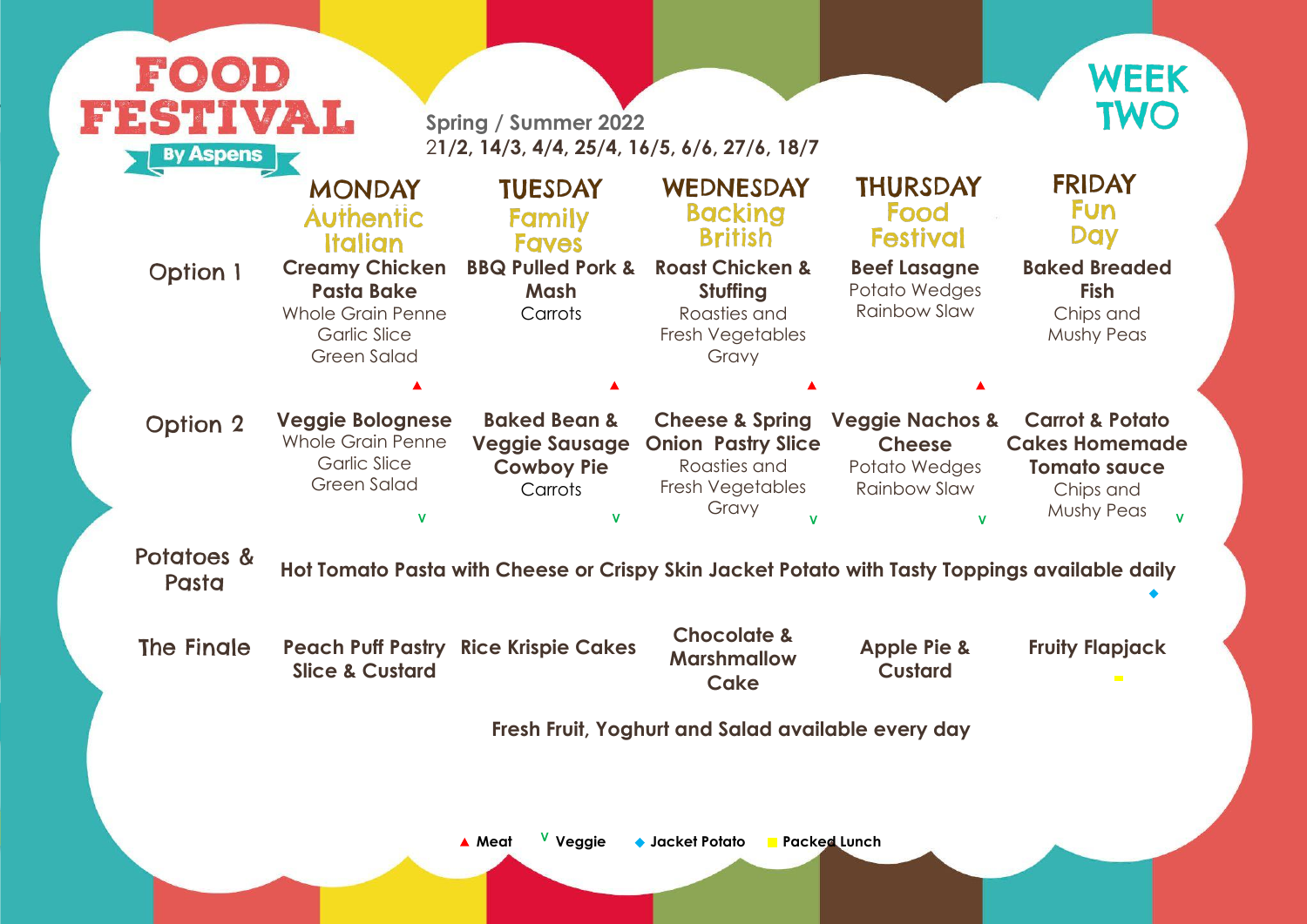#### **FRIDAY** Fun Day **Baked Breaded Fish** Chips and Mushy Peas

|                                                    | EESTINGS<br>TWO<br><b>Spring / Summer 2022</b><br>21/2, 14/3, 4/4, 25/4, 16/5, 6/6, 27/6, 18/7<br><b>By Aspens</b>  |                                                                                  |                                                                                                             |                                                                                     |                                                                                                              |  |  |  |
|----------------------------------------------------|---------------------------------------------------------------------------------------------------------------------|----------------------------------------------------------------------------------|-------------------------------------------------------------------------------------------------------------|-------------------------------------------------------------------------------------|--------------------------------------------------------------------------------------------------------------|--|--|--|
|                                                    | <b>MONDAY</b><br><b>Authentic</b><br><b>Italian</b>                                                                 | <b>TUESDAY</b><br>Family<br><b>Faves</b>                                         | WEDNESDAY<br><b>Backing</b><br><b>British</b>                                                               | <b>THURSDAY</b><br>Food<br><b>Festival</b>                                          | <b>FRIDAY</b><br><b>Fun</b><br><b>Day</b>                                                                    |  |  |  |
| <b>Option 1</b>                                    | <b>Creamy Chicken</b><br><b>Pasta Bake</b><br><b>Whole Grain Penne</b><br><b>Garlic Slice</b><br><b>Green Salad</b> | <b>BBQ Pulled Pork &amp;</b><br><b>Mash</b><br>Carrots                           | <b>Roast Chicken &amp;</b><br>Stuffing<br>Roasties and<br>Fresh Vegetables<br>Gravy                         | <b>Beef Lasagne</b><br>Potato Wedges<br><b>Rainbow Slaw</b>                         | <b>Baked Breaded</b><br><b>Fish</b><br>Chips and<br><b>Mushy Peas</b>                                        |  |  |  |
|                                                    |                                                                                                                     |                                                                                  |                                                                                                             |                                                                                     |                                                                                                              |  |  |  |
| <b>Option 2</b>                                    | <b>Veggie Bolognese</b><br><b>Whole Grain Penne</b><br><b>Garlic Slice</b><br><b>Green Salad</b>                    | <b>Baked Bean &amp;</b><br><b>Veggie Sausage</b><br><b>Cowboy Pie</b><br>Carrots | <b>Cheese &amp; Spring</b><br><b>Onion Pastry Slice</b><br>Roasties and<br><b>Fresh Vegetables</b><br>Gravy | <b>Veggie Nachos &amp;</b><br><b>Cheese</b><br>Potato Wedges<br><b>Rainbow Slaw</b> | <b>Carrot &amp; Potato</b><br><b>Cakes Homemade</b><br><b>Tomato sauce</b><br>Chips and<br><b>Mushy Peas</b> |  |  |  |
| Potatoes &<br>Pasta                                |                                                                                                                     |                                                                                  | Hot Tomato Pasta with Cheese or Crispy Skin Jacket Potato with Tasty Toppings available daily               |                                                                                     |                                                                                                              |  |  |  |
| <b>The Finale</b>                                  | <b>Peach Puff Pastry Rice Krispie Cakes</b><br><b>Slice &amp; Custard</b>                                           |                                                                                  | <b>Chocolate &amp;</b><br><b>Marshmallow</b><br>Cake                                                        | <b>Apple Pie &amp;</b><br><b>Custard</b>                                            | <b>Fruity Flapjack</b><br>$\mathcal{L}_{\mathrm{max}}$                                                       |  |  |  |
| Fresh Fruit, Yoghurt and Salad available every day |                                                                                                                     |                                                                                  |                                                                                                             |                                                                                     |                                                                                                              |  |  |  |



### Pasta **Hot Tomato Pasta with Cheese or Crispy Skin Jacket Potato with Tasty Toppings available daily**

## **Fruity Flapjack**